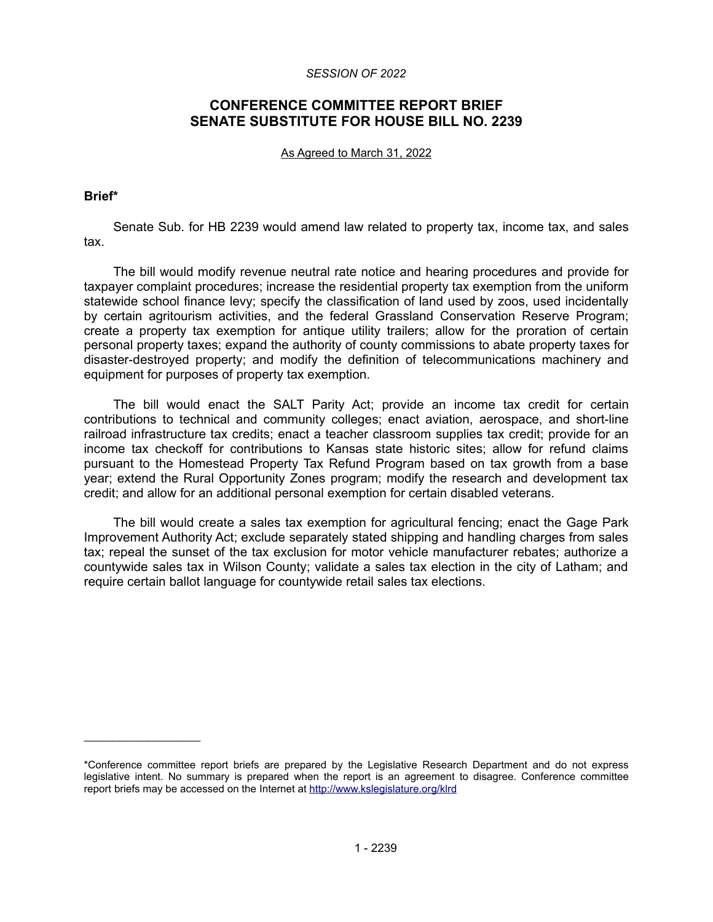#### *SESSION OF 2022*

# **CONFERENCE COMMITTEE REPORT BRIEF SENATE SUBSTITUTE FOR HOUSE BILL NO. 2239**

#### As Agreed to March 31, 2022

#### **Brief\***

 $\mathcal{L}=\{1,2,3,4,5\}$ 

Senate Sub. for HB 2239 would amend law related to property tax, income tax, and sales tax.

The bill would modify revenue neutral rate notice and hearing procedures and provide for taxpayer complaint procedures; increase the residential property tax exemption from the uniform statewide school finance levy; specify the classification of land used by zoos, used incidentally by certain agritourism activities, and the federal Grassland Conservation Reserve Program; create a property tax exemption for antique utility trailers; allow for the proration of certain personal property taxes; expand the authority of county commissions to abate property taxes for disaster-destroyed property; and modify the definition of telecommunications machinery and equipment for purposes of property tax exemption.

The bill would enact the SALT Parity Act; provide an income tax credit for certain contributions to technical and community colleges; enact aviation, aerospace, and short-line railroad infrastructure tax credits; enact a teacher classroom supplies tax credit; provide for an income tax checkoff for contributions to Kansas state historic sites; allow for refund claims pursuant to the Homestead Property Tax Refund Program based on tax growth from a base year; extend the Rural Opportunity Zones program; modify the research and development tax credit; and allow for an additional personal exemption for certain disabled veterans.

The bill would create a sales tax exemption for agricultural fencing; enact the Gage Park Improvement Authority Act; exclude separately stated shipping and handling charges from sales tax; repeal the sunset of the tax exclusion for motor vehicle manufacturer rebates; authorize a countywide sales tax in Wilson County; validate a sales tax election in the city of Latham; and require certain ballot language for countywide retail sales tax elections.

<sup>\*</sup>Conference committee report briefs are prepared by the Legislative Research Department and do not express legislative intent. No summary is prepared when the report is an agreement to disagree. Conference committee report briefs may be accessed on the Internet at<http://www.kslegislature.org/klrd>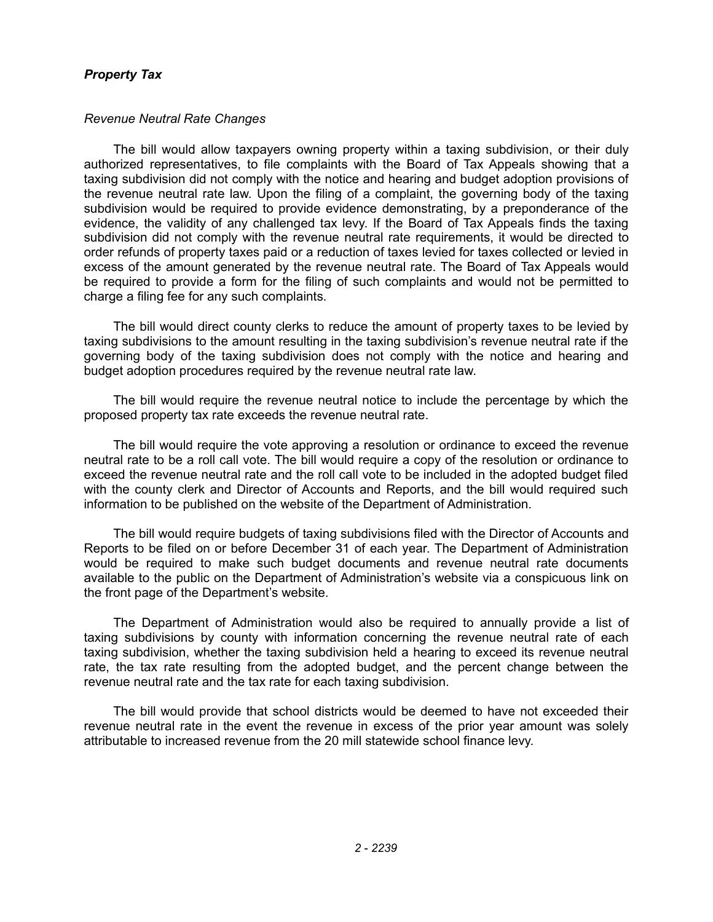# *Property Tax*

## *Revenue Neutral Rate Changes*

The bill would allow taxpayers owning property within a taxing subdivision, or their duly authorized representatives, to file complaints with the Board of Tax Appeals showing that a taxing subdivision did not comply with the notice and hearing and budget adoption provisions of the revenue neutral rate law. Upon the filing of a complaint, the governing body of the taxing subdivision would be required to provide evidence demonstrating, by a preponderance of the evidence, the validity of any challenged tax levy. If the Board of Tax Appeals finds the taxing subdivision did not comply with the revenue neutral rate requirements, it would be directed to order refunds of property taxes paid or a reduction of taxes levied for taxes collected or levied in excess of the amount generated by the revenue neutral rate. The Board of Tax Appeals would be required to provide a form for the filing of such complaints and would not be permitted to charge a filing fee for any such complaints.

The bill would direct county clerks to reduce the amount of property taxes to be levied by taxing subdivisions to the amount resulting in the taxing subdivision's revenue neutral rate if the governing body of the taxing subdivision does not comply with the notice and hearing and budget adoption procedures required by the revenue neutral rate law.

The bill would require the revenue neutral notice to include the percentage by which the proposed property tax rate exceeds the revenue neutral rate.

The bill would require the vote approving a resolution or ordinance to exceed the revenue neutral rate to be a roll call vote. The bill would require a copy of the resolution or ordinance to exceed the revenue neutral rate and the roll call vote to be included in the adopted budget filed with the county clerk and Director of Accounts and Reports, and the bill would required such information to be published on the website of the Department of Administration.

The bill would require budgets of taxing subdivisions filed with the Director of Accounts and Reports to be filed on or before December 31 of each year. The Department of Administration would be required to make such budget documents and revenue neutral rate documents available to the public on the Department of Administration's website via a conspicuous link on the front page of the Department's website.

The Department of Administration would also be required to annually provide a list of taxing subdivisions by county with information concerning the revenue neutral rate of each taxing subdivision, whether the taxing subdivision held a hearing to exceed its revenue neutral rate, the tax rate resulting from the adopted budget, and the percent change between the revenue neutral rate and the tax rate for each taxing subdivision.

The bill would provide that school districts would be deemed to have not exceeded their revenue neutral rate in the event the revenue in excess of the prior year amount was solely attributable to increased revenue from the 20 mill statewide school finance levy.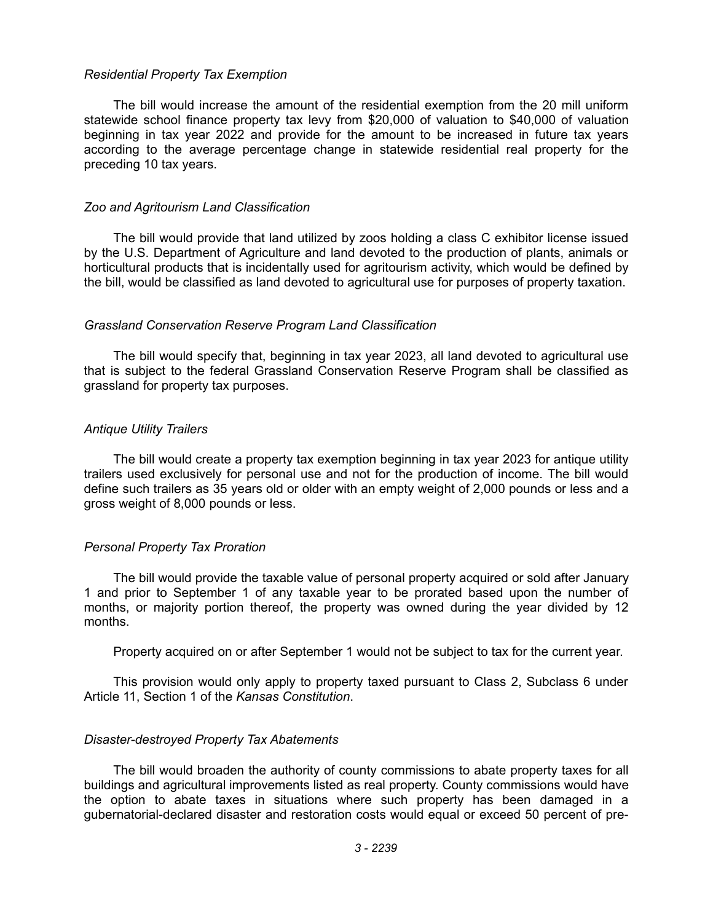#### *Residential Property Tax Exemption*

The bill would increase the amount of the residential exemption from the 20 mill uniform statewide school finance property tax levy from \$20,000 of valuation to \$40,000 of valuation beginning in tax year 2022 and provide for the amount to be increased in future tax years according to the average percentage change in statewide residential real property for the preceding 10 tax years.

#### *Zoo and Agritourism Land Classification*

The bill would provide that land utilized by zoos holding a class C exhibitor license issued by the U.S. Department of Agriculture and land devoted to the production of plants, animals or horticultural products that is incidentally used for agritourism activity, which would be defined by the bill, would be classified as land devoted to agricultural use for purposes of property taxation.

### *Grassland Conservation Reserve Program Land Classification*

The bill would specify that, beginning in tax year 2023, all land devoted to agricultural use that is subject to the federal Grassland Conservation Reserve Program shall be classified as grassland for property tax purposes.

### *Antique Utility Trailers*

The bill would create a property tax exemption beginning in tax year 2023 for antique utility trailers used exclusively for personal use and not for the production of income. The bill would define such trailers as 35 years old or older with an empty weight of 2,000 pounds or less and a gross weight of 8,000 pounds or less.

### *Personal Property Tax Proration*

The bill would provide the taxable value of personal property acquired or sold after January 1 and prior to September 1 of any taxable year to be prorated based upon the number of months, or majority portion thereof, the property was owned during the year divided by 12 months.

Property acquired on or after September 1 would not be subject to tax for the current year.

This provision would only apply to property taxed pursuant to Class 2, Subclass 6 under Article 11, Section 1 of the *Kansas Constitution*.

### *Disaster-destroyed Property Tax Abatements*

The bill would broaden the authority of county commissions to abate property taxes for all buildings and agricultural improvements listed as real property. County commissions would have the option to abate taxes in situations where such property has been damaged in a gubernatorial-declared disaster and restoration costs would equal or exceed 50 percent of pre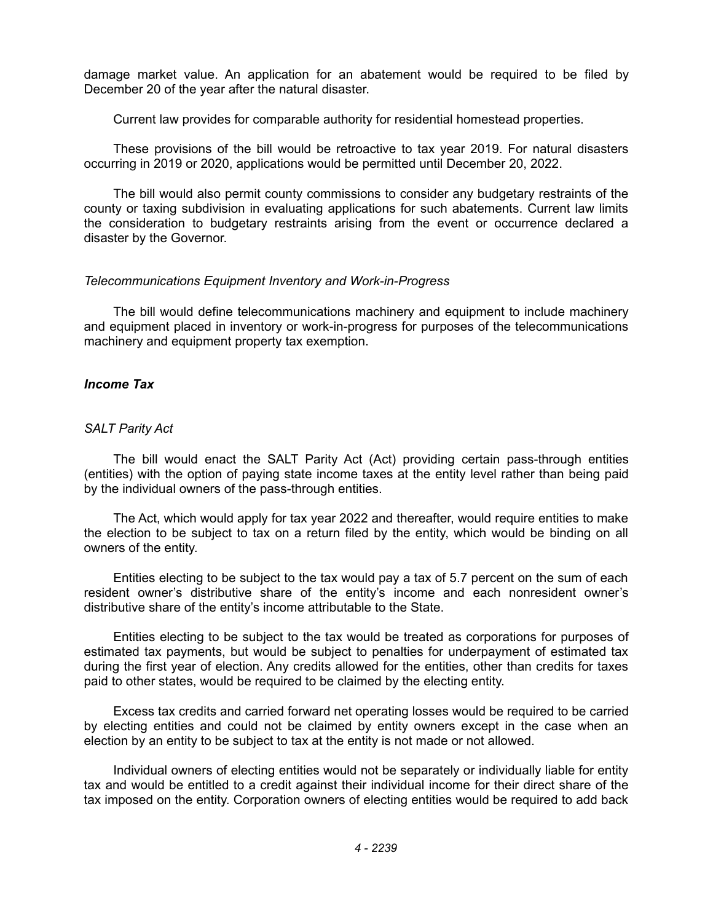damage market value. An application for an abatement would be required to be filed by December 20 of the year after the natural disaster.

Current law provides for comparable authority for residential homestead properties.

These provisions of the bill would be retroactive to tax year 2019. For natural disasters occurring in 2019 or 2020, applications would be permitted until December 20, 2022.

The bill would also permit county commissions to consider any budgetary restraints of the county or taxing subdivision in evaluating applications for such abatements. Current law limits the consideration to budgetary restraints arising from the event or occurrence declared a disaster by the Governor.

### *Telecommunications Equipment Inventory and Work-in-Progress*

The bill would define telecommunications machinery and equipment to include machinery and equipment placed in inventory or work-in-progress for purposes of the telecommunications machinery and equipment property tax exemption.

## *Income Tax*

## *SALT Parity Act*

The bill would enact the SALT Parity Act (Act) providing certain pass-through entities (entities) with the option of paying state income taxes at the entity level rather than being paid by the individual owners of the pass-through entities.

The Act, which would apply for tax year 2022 and thereafter, would require entities to make the election to be subject to tax on a return filed by the entity, which would be binding on all owners of the entity.

Entities electing to be subject to the tax would pay a tax of 5.7 percent on the sum of each resident owner's distributive share of the entity's income and each nonresident owner's distributive share of the entity's income attributable to the State.

Entities electing to be subject to the tax would be treated as corporations for purposes of estimated tax payments, but would be subject to penalties for underpayment of estimated tax during the first year of election. Any credits allowed for the entities, other than credits for taxes paid to other states, would be required to be claimed by the electing entity.

Excess tax credits and carried forward net operating losses would be required to be carried by electing entities and could not be claimed by entity owners except in the case when an election by an entity to be subject to tax at the entity is not made or not allowed.

Individual owners of electing entities would not be separately or individually liable for entity tax and would be entitled to a credit against their individual income for their direct share of the tax imposed on the entity. Corporation owners of electing entities would be required to add back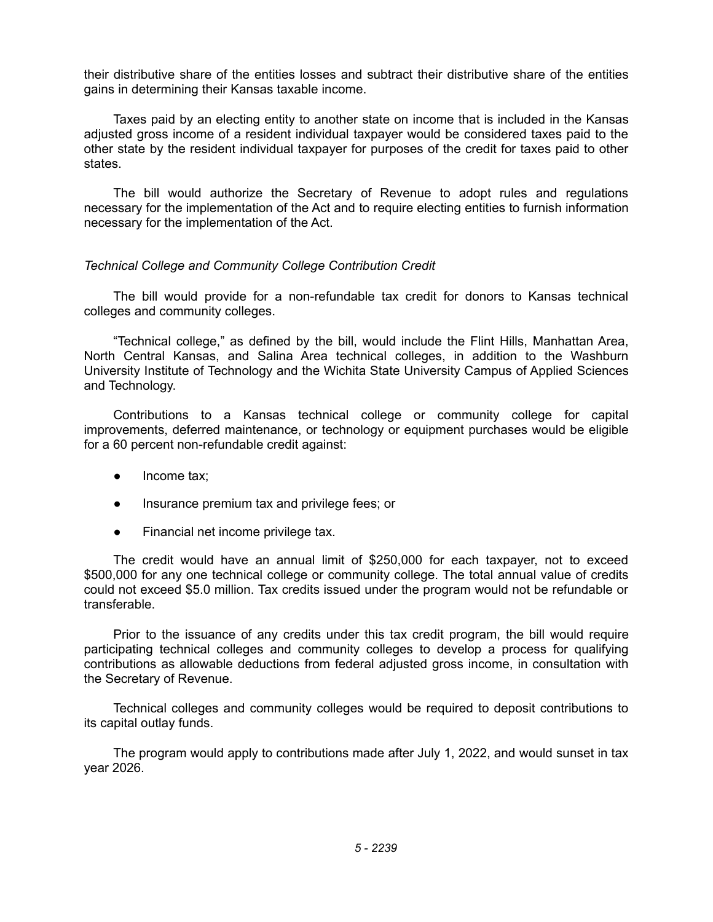their distributive share of the entities losses and subtract their distributive share of the entities gains in determining their Kansas taxable income.

Taxes paid by an electing entity to another state on income that is included in the Kansas adjusted gross income of a resident individual taxpayer would be considered taxes paid to the other state by the resident individual taxpayer for purposes of the credit for taxes paid to other states.

The bill would authorize the Secretary of Revenue to adopt rules and regulations necessary for the implementation of the Act and to require electing entities to furnish information necessary for the implementation of the Act.

## *Technical College and Community College Contribution Credit*

The bill would provide for a non-refundable tax credit for donors to Kansas technical colleges and community colleges.

"Technical college," as defined by the bill, would include the Flint Hills, Manhattan Area, North Central Kansas, and Salina Area technical colleges, in addition to the Washburn University Institute of Technology and the Wichita State University Campus of Applied Sciences and Technology.

Contributions to a Kansas technical college or community college for capital improvements, deferred maintenance, or technology or equipment purchases would be eligible for a 60 percent non-refundable credit against:

- Income tax:
- Insurance premium tax and privilege fees; or
- Financial net income privilege tax.

The credit would have an annual limit of \$250,000 for each taxpayer, not to exceed \$500,000 for any one technical college or community college. The total annual value of credits could not exceed \$5.0 million. Tax credits issued under the program would not be refundable or transferable.

Prior to the issuance of any credits under this tax credit program, the bill would require participating technical colleges and community colleges to develop a process for qualifying contributions as allowable deductions from federal adjusted gross income, in consultation with the Secretary of Revenue.

Technical colleges and community colleges would be required to deposit contributions to its capital outlay funds.

The program would apply to contributions made after July 1, 2022, and would sunset in tax year 2026.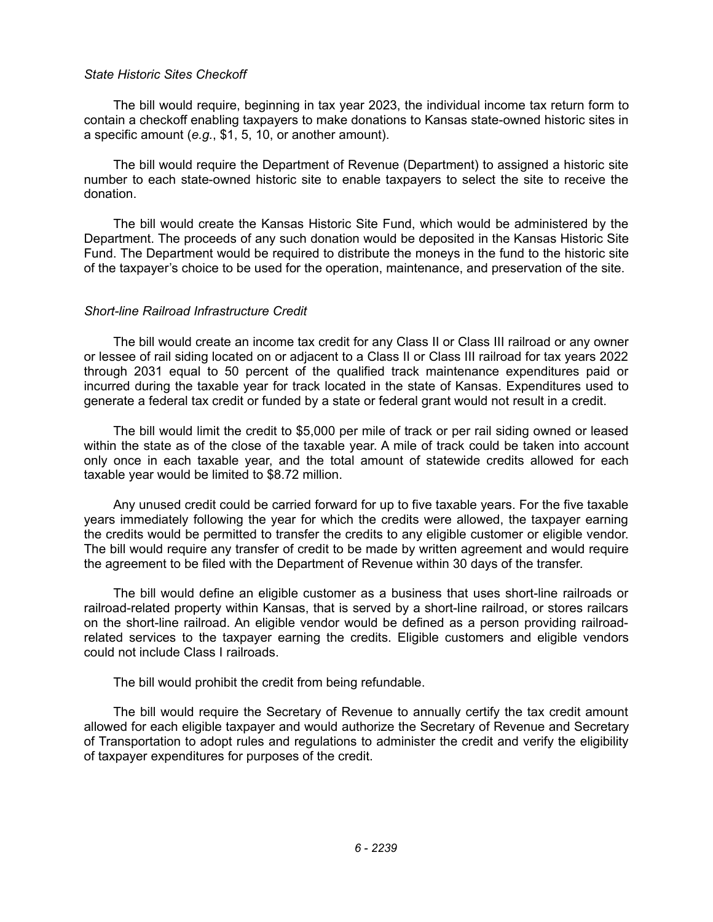#### *State Historic Sites Checkoff*

The bill would require, beginning in tax year 2023, the individual income tax return form to contain a checkoff enabling taxpayers to make donations to Kansas state-owned historic sites in a specific amount (*e.g.*, \$1, 5, 10, or another amount).

The bill would require the Department of Revenue (Department) to assigned a historic site number to each state-owned historic site to enable taxpayers to select the site to receive the donation.

The bill would create the Kansas Historic Site Fund, which would be administered by the Department. The proceeds of any such donation would be deposited in the Kansas Historic Site Fund. The Department would be required to distribute the moneys in the fund to the historic site of the taxpayer's choice to be used for the operation, maintenance, and preservation of the site.

#### *Short-line Railroad Infrastructure Credit*

The bill would create an income tax credit for any Class II or Class III railroad or any owner or lessee of rail siding located on or adjacent to a Class II or Class III railroad for tax years 2022 through 2031 equal to 50 percent of the qualified track maintenance expenditures paid or incurred during the taxable year for track located in the state of Kansas. Expenditures used to generate a federal tax credit or funded by a state or federal grant would not result in a credit.

The bill would limit the credit to \$5,000 per mile of track or per rail siding owned or leased within the state as of the close of the taxable year. A mile of track could be taken into account only once in each taxable year, and the total amount of statewide credits allowed for each taxable year would be limited to \$8.72 million.

Any unused credit could be carried forward for up to five taxable years. For the five taxable years immediately following the year for which the credits were allowed, the taxpayer earning the credits would be permitted to transfer the credits to any eligible customer or eligible vendor. The bill would require any transfer of credit to be made by written agreement and would require the agreement to be filed with the Department of Revenue within 30 days of the transfer.

The bill would define an eligible customer as a business that uses short-line railroads or railroad-related property within Kansas, that is served by a short-line railroad, or stores railcars on the short-line railroad. An eligible vendor would be defined as a person providing railroadrelated services to the taxpayer earning the credits. Eligible customers and eligible vendors could not include Class I railroads.

The bill would prohibit the credit from being refundable.

The bill would require the Secretary of Revenue to annually certify the tax credit amount allowed for each eligible taxpayer and would authorize the Secretary of Revenue and Secretary of Transportation to adopt rules and regulations to administer the credit and verify the eligibility of taxpayer expenditures for purposes of the credit.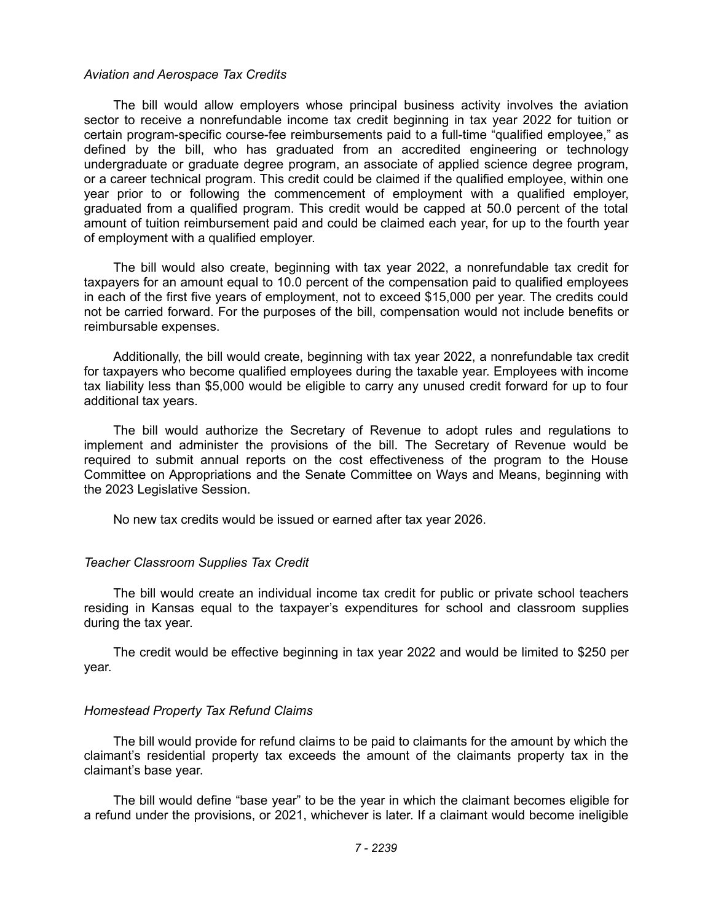#### *Aviation and Aerospace Tax Credits*

The bill would allow employers whose principal business activity involves the aviation sector to receive a nonrefundable income tax credit beginning in tax year 2022 for tuition or certain program-specific course-fee reimbursements paid to a full-time "qualified employee," as defined by the bill, who has graduated from an accredited engineering or technology undergraduate or graduate degree program, an associate of applied science degree program, or a career technical program. This credit could be claimed if the qualified employee, within one year prior to or following the commencement of employment with a qualified employer, graduated from a qualified program. This credit would be capped at 50.0 percent of the total amount of tuition reimbursement paid and could be claimed each year, for up to the fourth year of employment with a qualified employer.

The bill would also create, beginning with tax year 2022, a nonrefundable tax credit for taxpayers for an amount equal to 10.0 percent of the compensation paid to qualified employees in each of the first five years of employment, not to exceed \$15,000 per year. The credits could not be carried forward. For the purposes of the bill, compensation would not include benefits or reimbursable expenses.

Additionally, the bill would create, beginning with tax year 2022, a nonrefundable tax credit for taxpayers who become qualified employees during the taxable year. Employees with income tax liability less than \$5,000 would be eligible to carry any unused credit forward for up to four additional tax years.

The bill would authorize the Secretary of Revenue to adopt rules and regulations to implement and administer the provisions of the bill. The Secretary of Revenue would be required to submit annual reports on the cost effectiveness of the program to the House Committee on Appropriations and the Senate Committee on Ways and Means, beginning with the 2023 Legislative Session.

No new tax credits would be issued or earned after tax year 2026.

### *Teacher Classroom Supplies Tax Credit*

The bill would create an individual income tax credit for public or private school teachers residing in Kansas equal to the taxpayer's expenditures for school and classroom supplies during the tax year.

The credit would be effective beginning in tax year 2022 and would be limited to \$250 per year.

### *Homestead Property Tax Refund Claims*

The bill would provide for refund claims to be paid to claimants for the amount by which the claimant's residential property tax exceeds the amount of the claimants property tax in the claimant's base year.

The bill would define "base year" to be the year in which the claimant becomes eligible for a refund under the provisions, or 2021, whichever is later. If a claimant would become ineligible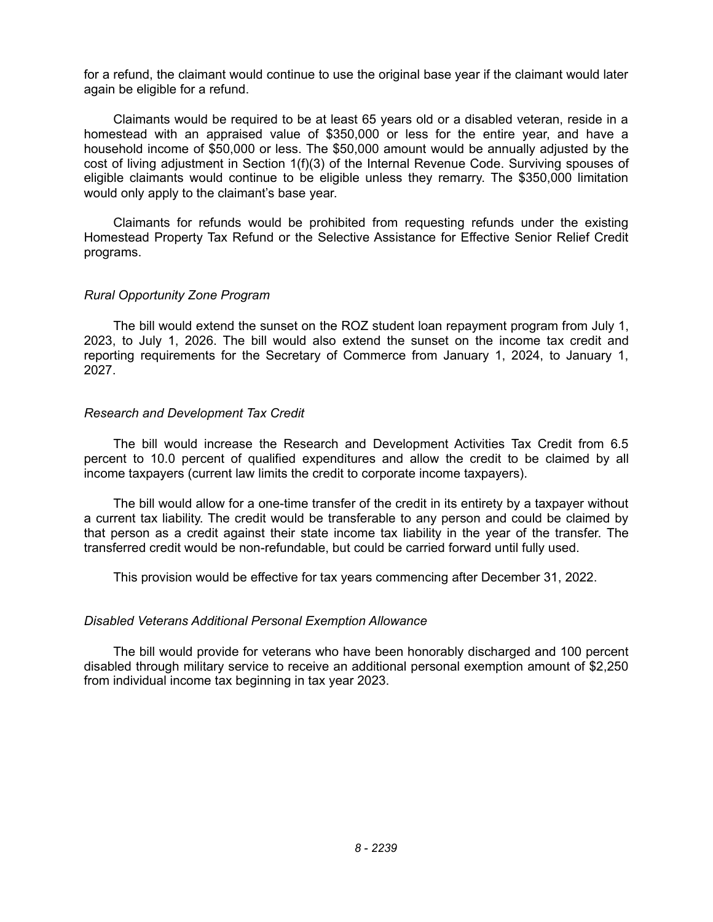for a refund, the claimant would continue to use the original base year if the claimant would later again be eligible for a refund.

Claimants would be required to be at least 65 years old or a disabled veteran, reside in a homestead with an appraised value of \$350,000 or less for the entire year, and have a household income of \$50,000 or less. The \$50,000 amount would be annually adjusted by the cost of living adjustment in Section 1(f)(3) of the Internal Revenue Code. Surviving spouses of eligible claimants would continue to be eligible unless they remarry. The \$350,000 limitation would only apply to the claimant's base year.

Claimants for refunds would be prohibited from requesting refunds under the existing Homestead Property Tax Refund or the Selective Assistance for Effective Senior Relief Credit programs.

### *Rural Opportunity Zone Program*

The bill would extend the sunset on the ROZ student loan repayment program from July 1, 2023, to July 1, 2026. The bill would also extend the sunset on the income tax credit and reporting requirements for the Secretary of Commerce from January 1, 2024, to January 1, 2027.

## *Research and Development Tax Credit*

The bill would increase the Research and Development Activities Tax Credit from 6.5 percent to 10.0 percent of qualified expenditures and allow the credit to be claimed by all income taxpayers (current law limits the credit to corporate income taxpayers).

The bill would allow for a one-time transfer of the credit in its entirety by a taxpayer without a current tax liability. The credit would be transferable to any person and could be claimed by that person as a credit against their state income tax liability in the year of the transfer. The transferred credit would be non-refundable, but could be carried forward until fully used.

This provision would be effective for tax years commencing after December 31, 2022.

# *Disabled Veterans Additional Personal Exemption Allowance*

The bill would provide for veterans who have been honorably discharged and 100 percent disabled through military service to receive an additional personal exemption amount of \$2,250 from individual income tax beginning in tax year 2023.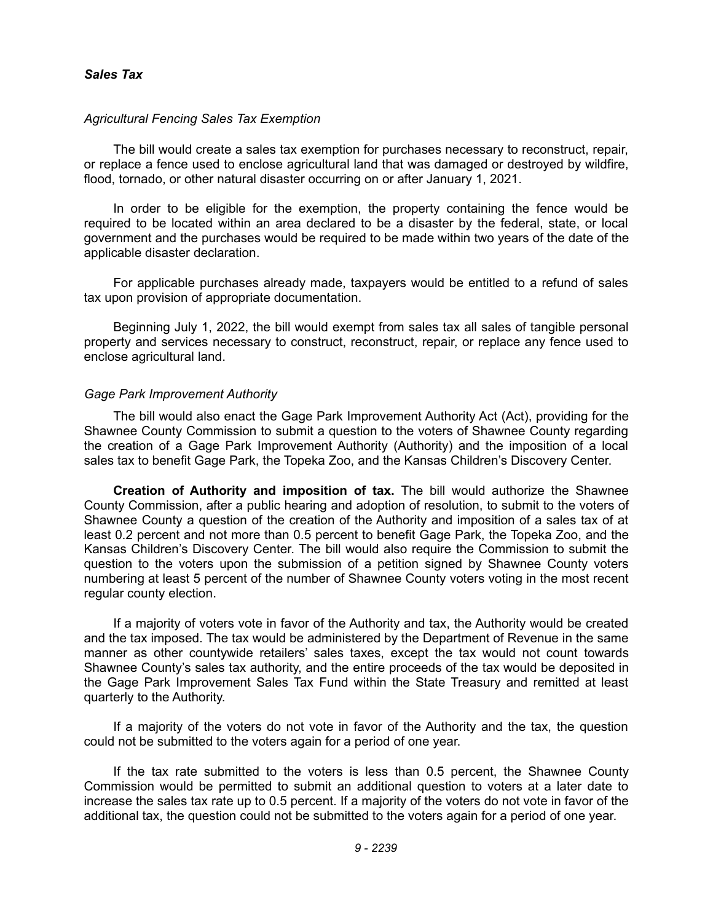## *Sales Tax*

### *Agricultural Fencing Sales Tax Exemption*

The bill would create a sales tax exemption for purchases necessary to reconstruct, repair, or replace a fence used to enclose agricultural land that was damaged or destroyed by wildfire, flood, tornado, or other natural disaster occurring on or after January 1, 2021.

In order to be eligible for the exemption, the property containing the fence would be required to be located within an area declared to be a disaster by the federal, state, or local government and the purchases would be required to be made within two years of the date of the applicable disaster declaration.

For applicable purchases already made, taxpayers would be entitled to a refund of sales tax upon provision of appropriate documentation.

Beginning July 1, 2022, the bill would exempt from sales tax all sales of tangible personal property and services necessary to construct, reconstruct, repair, or replace any fence used to enclose agricultural land.

### *Gage Park Improvement Authority*

The bill would also enact the Gage Park Improvement Authority Act (Act), providing for the Shawnee County Commission to submit a question to the voters of Shawnee County regarding the creation of a Gage Park Improvement Authority (Authority) and the imposition of a local sales tax to benefit Gage Park, the Topeka Zoo, and the Kansas Children's Discovery Center.

**Creation of Authority and imposition of tax.** The bill would authorize the Shawnee County Commission, after a public hearing and adoption of resolution, to submit to the voters of Shawnee County a question of the creation of the Authority and imposition of a sales tax of at least 0.2 percent and not more than 0.5 percent to benefit Gage Park, the Topeka Zoo, and the Kansas Children's Discovery Center. The bill would also require the Commission to submit the question to the voters upon the submission of a petition signed by Shawnee County voters numbering at least 5 percent of the number of Shawnee County voters voting in the most recent regular county election.

If a majority of voters vote in favor of the Authority and tax, the Authority would be created and the tax imposed. The tax would be administered by the Department of Revenue in the same manner as other countywide retailers' sales taxes, except the tax would not count towards Shawnee County's sales tax authority, and the entire proceeds of the tax would be deposited in the Gage Park Improvement Sales Tax Fund within the State Treasury and remitted at least quarterly to the Authority.

If a majority of the voters do not vote in favor of the Authority and the tax, the question could not be submitted to the voters again for a period of one year.

If the tax rate submitted to the voters is less than 0.5 percent, the Shawnee County Commission would be permitted to submit an additional question to voters at a later date to increase the sales tax rate up to 0.5 percent. If a majority of the voters do not vote in favor of the additional tax, the question could not be submitted to the voters again for a period of one year.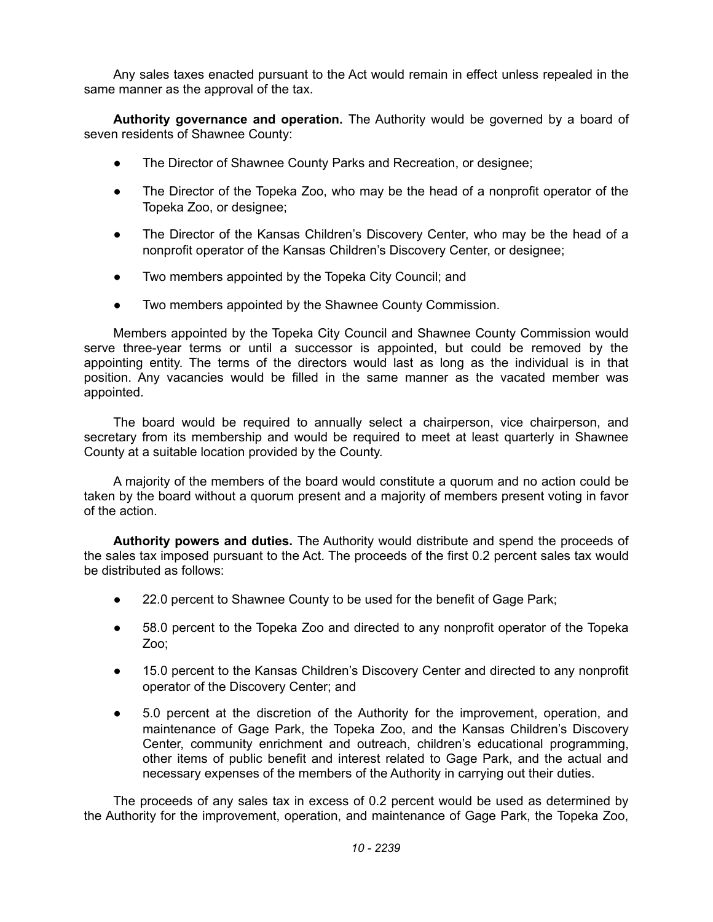Any sales taxes enacted pursuant to the Act would remain in effect unless repealed in the same manner as the approval of the tax.

**Authority governance and operation.** The Authority would be governed by a board of seven residents of Shawnee County:

- The Director of Shawnee County Parks and Recreation, or designee;
- The Director of the Topeka Zoo, who may be the head of a nonprofit operator of the Topeka Zoo, or designee;
- The Director of the Kansas Children's Discovery Center, who may be the head of a nonprofit operator of the Kansas Children's Discovery Center, or designee;
- Two members appointed by the Topeka City Council; and
- Two members appointed by the Shawnee County Commission.

Members appointed by the Topeka City Council and Shawnee County Commission would serve three-year terms or until a successor is appointed, but could be removed by the appointing entity. The terms of the directors would last as long as the individual is in that position. Any vacancies would be filled in the same manner as the vacated member was appointed.

The board would be required to annually select a chairperson, vice chairperson, and secretary from its membership and would be required to meet at least quarterly in Shawnee County at a suitable location provided by the County.

A majority of the members of the board would constitute a quorum and no action could be taken by the board without a quorum present and a majority of members present voting in favor of the action.

**Authority powers and duties.** The Authority would distribute and spend the proceeds of the sales tax imposed pursuant to the Act. The proceeds of the first 0.2 percent sales tax would be distributed as follows:

- 22.0 percent to Shawnee County to be used for the benefit of Gage Park;
- 58.0 percent to the Topeka Zoo and directed to any nonprofit operator of the Topeka Zoo;
- 15.0 percent to the Kansas Children's Discovery Center and directed to any nonprofit operator of the Discovery Center; and
- 5.0 percent at the discretion of the Authority for the improvement, operation, and maintenance of Gage Park, the Topeka Zoo, and the Kansas Children's Discovery Center, community enrichment and outreach, children's educational programming, other items of public benefit and interest related to Gage Park, and the actual and necessary expenses of the members of the Authority in carrying out their duties.

The proceeds of any sales tax in excess of 0.2 percent would be used as determined by the Authority for the improvement, operation, and maintenance of Gage Park, the Topeka Zoo,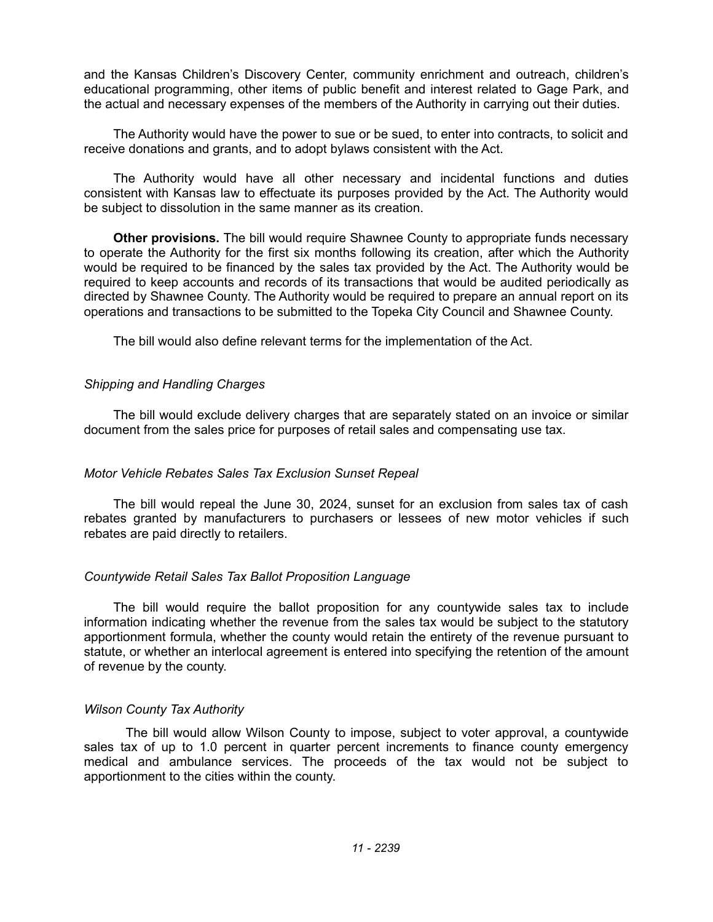and the Kansas Children's Discovery Center, community enrichment and outreach, children's educational programming, other items of public benefit and interest related to Gage Park, and the actual and necessary expenses of the members of the Authority in carrying out their duties.

The Authority would have the power to sue or be sued, to enter into contracts, to solicit and receive donations and grants, and to adopt bylaws consistent with the Act.

The Authority would have all other necessary and incidental functions and duties consistent with Kansas law to effectuate its purposes provided by the Act. The Authority would be subject to dissolution in the same manner as its creation.

**Other provisions.** The bill would require Shawnee County to appropriate funds necessary to operate the Authority for the first six months following its creation, after which the Authority would be required to be financed by the sales tax provided by the Act. The Authority would be required to keep accounts and records of its transactions that would be audited periodically as directed by Shawnee County. The Authority would be required to prepare an annual report on its operations and transactions to be submitted to the Topeka City Council and Shawnee County.

The bill would also define relevant terms for the implementation of the Act.

## *Shipping and Handling Charges*

The bill would exclude delivery charges that are separately stated on an invoice or similar document from the sales price for purposes of retail sales and compensating use tax.

# *Motor Vehicle Rebates Sales Tax Exclusion Sunset Repeal*

The bill would repeal the June 30, 2024, sunset for an exclusion from sales tax of cash rebates granted by manufacturers to purchasers or lessees of new motor vehicles if such rebates are paid directly to retailers.

# *Countywide Retail Sales Tax Ballot Proposition Language*

The bill would require the ballot proposition for any countywide sales tax to include information indicating whether the revenue from the sales tax would be subject to the statutory apportionment formula, whether the county would retain the entirety of the revenue pursuant to statute, or whether an interlocal agreement is entered into specifying the retention of the amount of revenue by the county.

# *Wilson County Tax Authority*

The bill would allow Wilson County to impose, subject to voter approval, a countywide sales tax of up to 1.0 percent in quarter percent increments to finance county emergency medical and ambulance services. The proceeds of the tax would not be subject to apportionment to the cities within the county.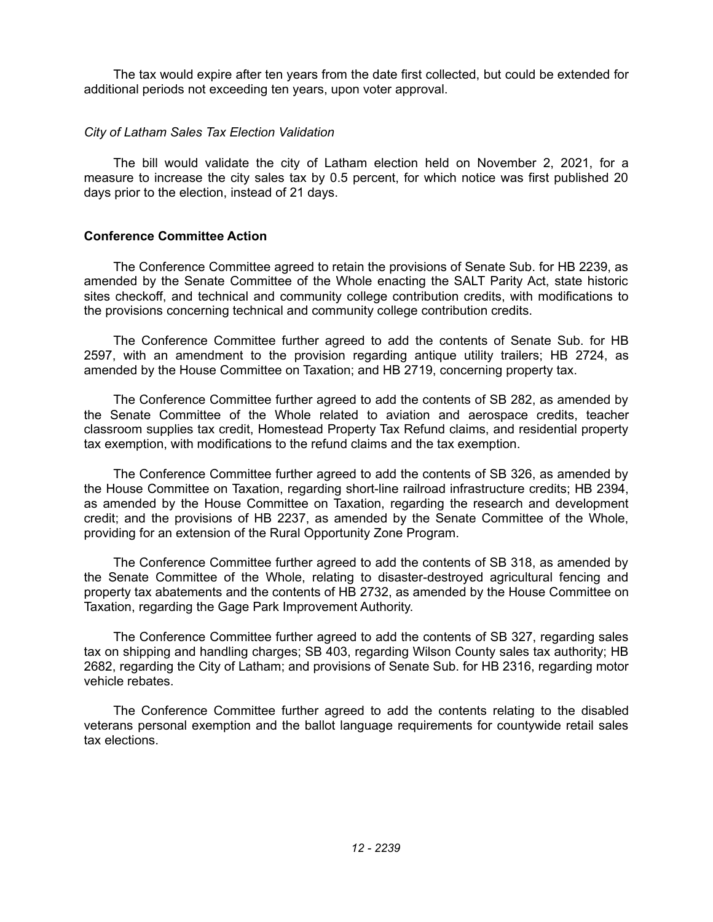The tax would expire after ten years from the date first collected, but could be extended for additional periods not exceeding ten years, upon voter approval.

### *City of Latham Sales Tax Election Validation*

The bill would validate the city of Latham election held on November 2, 2021, for a measure to increase the city sales tax by 0.5 percent, for which notice was first published 20 days prior to the election, instead of 21 days.

## **Conference Committee Action**

The Conference Committee agreed to retain the provisions of Senate Sub. for HB 2239, as amended by the Senate Committee of the Whole enacting the SALT Parity Act, state historic sites checkoff, and technical and community college contribution credits, with modifications to the provisions concerning technical and community college contribution credits.

The Conference Committee further agreed to add the contents of Senate Sub. for HB 2597, with an amendment to the provision regarding antique utility trailers; HB 2724, as amended by the House Committee on Taxation; and HB 2719, concerning property tax.

The Conference Committee further agreed to add the contents of SB 282, as amended by the Senate Committee of the Whole related to aviation and aerospace credits, teacher classroom supplies tax credit, Homestead Property Tax Refund claims, and residential property tax exemption, with modifications to the refund claims and the tax exemption.

The Conference Committee further agreed to add the contents of SB 326, as amended by the House Committee on Taxation, regarding short-line railroad infrastructure credits; HB 2394, as amended by the House Committee on Taxation, regarding the research and development credit; and the provisions of HB 2237, as amended by the Senate Committee of the Whole, providing for an extension of the Rural Opportunity Zone Program.

The Conference Committee further agreed to add the contents of SB 318, as amended by the Senate Committee of the Whole, relating to disaster-destroyed agricultural fencing and property tax abatements and the contents of HB 2732, as amended by the House Committee on Taxation, regarding the Gage Park Improvement Authority.

The Conference Committee further agreed to add the contents of SB 327, regarding sales tax on shipping and handling charges; SB 403, regarding Wilson County sales tax authority; HB 2682, regarding the City of Latham; and provisions of Senate Sub. for HB 2316, regarding motor vehicle rebates.

The Conference Committee further agreed to add the contents relating to the disabled veterans personal exemption and the ballot language requirements for countywide retail sales tax elections.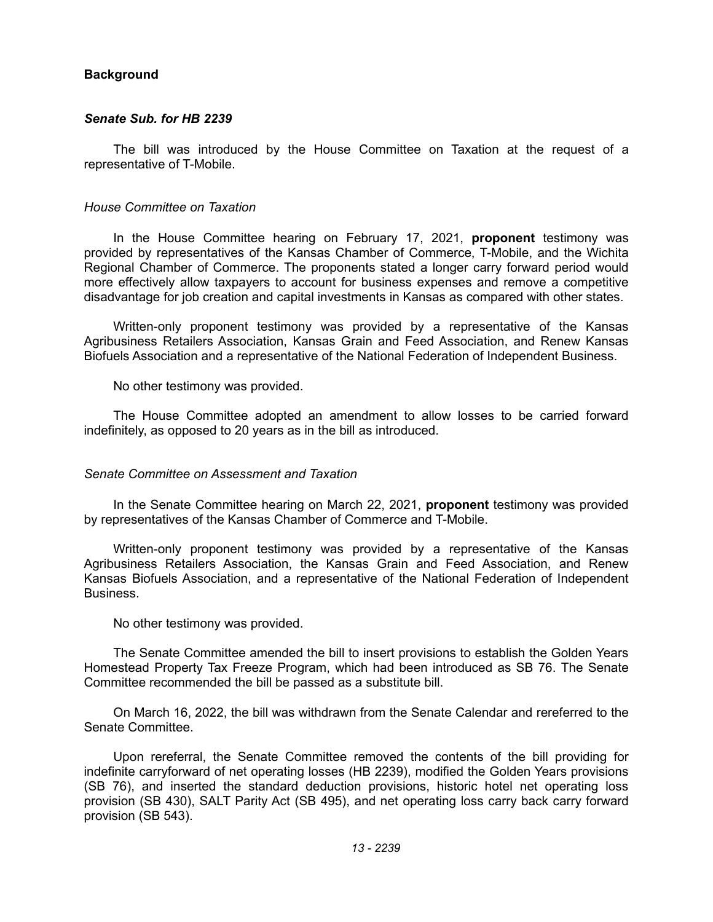## **Background**

### *Senate Sub. for HB 2239*

The bill was introduced by the House Committee on Taxation at the request of a representative of T-Mobile.

#### *House Committee on Taxation*

In the House Committee hearing on February 17, 2021, **proponent** testimony was provided by representatives of the Kansas Chamber of Commerce, T-Mobile, and the Wichita Regional Chamber of Commerce. The proponents stated a longer carry forward period would more effectively allow taxpayers to account for business expenses and remove a competitive disadvantage for job creation and capital investments in Kansas as compared with other states.

Written-only proponent testimony was provided by a representative of the Kansas Agribusiness Retailers Association, Kansas Grain and Feed Association, and Renew Kansas Biofuels Association and a representative of the National Federation of Independent Business.

No other testimony was provided.

The House Committee adopted an amendment to allow losses to be carried forward indefinitely, as opposed to 20 years as in the bill as introduced.

### *Senate Committee on Assessment and Taxation*

In the Senate Committee hearing on March 22, 2021, **proponent** testimony was provided by representatives of the Kansas Chamber of Commerce and T-Mobile.

Written-only proponent testimony was provided by a representative of the Kansas Agribusiness Retailers Association, the Kansas Grain and Feed Association, and Renew Kansas Biofuels Association, and a representative of the National Federation of Independent Business.

No other testimony was provided.

The Senate Committee amended the bill to insert provisions to establish the Golden Years Homestead Property Tax Freeze Program, which had been introduced as SB 76. The Senate Committee recommended the bill be passed as a substitute bill.

On March 16, 2022, the bill was withdrawn from the Senate Calendar and rereferred to the Senate Committee.

Upon rereferral, the Senate Committee removed the contents of the bill providing for indefinite carryforward of net operating losses (HB 2239), modified the Golden Years provisions (SB 76), and inserted the standard deduction provisions, historic hotel net operating loss provision (SB 430), SALT Parity Act (SB 495), and net operating loss carry back carry forward provision (SB 543).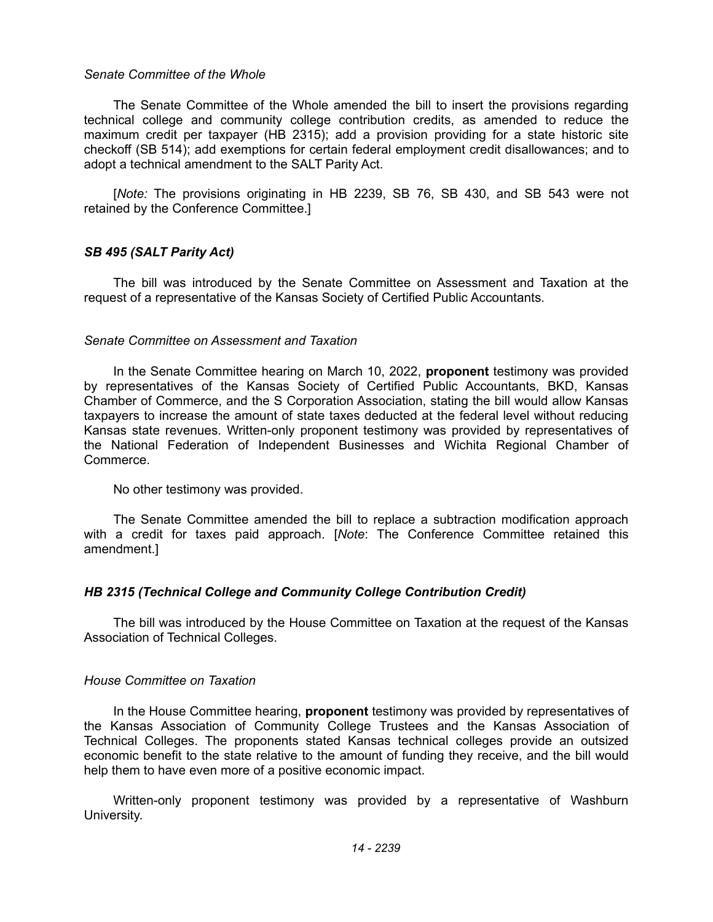#### *Senate Committee of the Whole*

The Senate Committee of the Whole amended the bill to insert the provisions regarding technical college and community college contribution credits, as amended to reduce the maximum credit per taxpayer (HB 2315); add a provision providing for a state historic site checkoff (SB 514); add exemptions for certain federal employment credit disallowances; and to adopt a technical amendment to the SALT Parity Act.

[*Note:* The provisions originating in HB 2239, SB 76, SB 430, and SB 543 were not retained by the Conference Committee.]

## *SB 495 (SALT Parity Act)*

The bill was introduced by the Senate Committee on Assessment and Taxation at the request of a representative of the Kansas Society of Certified Public Accountants.

#### *Senate Committee on Assessment and Taxation*

In the Senate Committee hearing on March 10, 2022, **proponent** testimony was provided by representatives of the Kansas Society of Certified Public Accountants, BKD, Kansas Chamber of Commerce, and the S Corporation Association, stating the bill would allow Kansas taxpayers to increase the amount of state taxes deducted at the federal level without reducing Kansas state revenues. Written-only proponent testimony was provided by representatives of the National Federation of Independent Businesses and Wichita Regional Chamber of Commerce.

No other testimony was provided.

The Senate Committee amended the bill to replace a subtraction modification approach with a credit for taxes paid approach. [*Note*: The Conference Committee retained this amendment.]

### *HB 2315 (Technical College and Community College Contribution Credit)*

The bill was introduced by the House Committee on Taxation at the request of the Kansas Association of Technical Colleges.

### *House Committee on Taxation*

In the House Committee hearing, **proponent** testimony was provided by representatives of the Kansas Association of Community College Trustees and the Kansas Association of Technical Colleges. The proponents stated Kansas technical colleges provide an outsized economic benefit to the state relative to the amount of funding they receive, and the bill would help them to have even more of a positive economic impact.

Written-only proponent testimony was provided by a representative of Washburn University.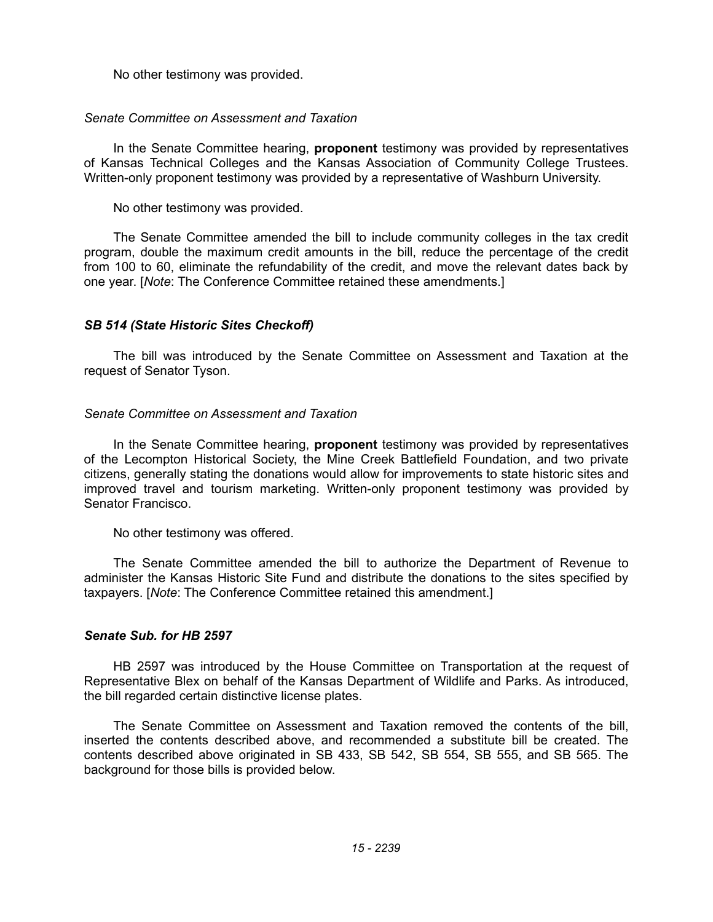No other testimony was provided.

## *Senate Committee on Assessment and Taxation*

In the Senate Committee hearing, **proponent** testimony was provided by representatives of Kansas Technical Colleges and the Kansas Association of Community College Trustees. Written-only proponent testimony was provided by a representative of Washburn University.

No other testimony was provided.

The Senate Committee amended the bill to include community colleges in the tax credit program, double the maximum credit amounts in the bill, reduce the percentage of the credit from 100 to 60, eliminate the refundability of the credit, and move the relevant dates back by one year. [*Note*: The Conference Committee retained these amendments.]

# *SB 514 (State Historic Sites Checkoff)*

The bill was introduced by the Senate Committee on Assessment and Taxation at the request of Senator Tyson.

## *Senate Committee on Assessment and Taxation*

In the Senate Committee hearing, **proponent** testimony was provided by representatives of the Lecompton Historical Society, the Mine Creek Battlefield Foundation, and two private citizens, generally stating the donations would allow for improvements to state historic sites and improved travel and tourism marketing. Written-only proponent testimony was provided by Senator Francisco.

No other testimony was offered.

The Senate Committee amended the bill to authorize the Department of Revenue to administer the Kansas Historic Site Fund and distribute the donations to the sites specified by taxpayers. [*Note*: The Conference Committee retained this amendment.]

### *Senate Sub. for HB 2597*

HB 2597 was introduced by the House Committee on Transportation at the request of Representative Blex on behalf of the Kansas Department of Wildlife and Parks. As introduced, the bill regarded certain distinctive license plates.

The Senate Committee on Assessment and Taxation removed the contents of the bill, inserted the contents described above, and recommended a substitute bill be created. The contents described above originated in SB 433, SB 542, SB 554, SB 555, and SB 565. The background for those bills is provided below.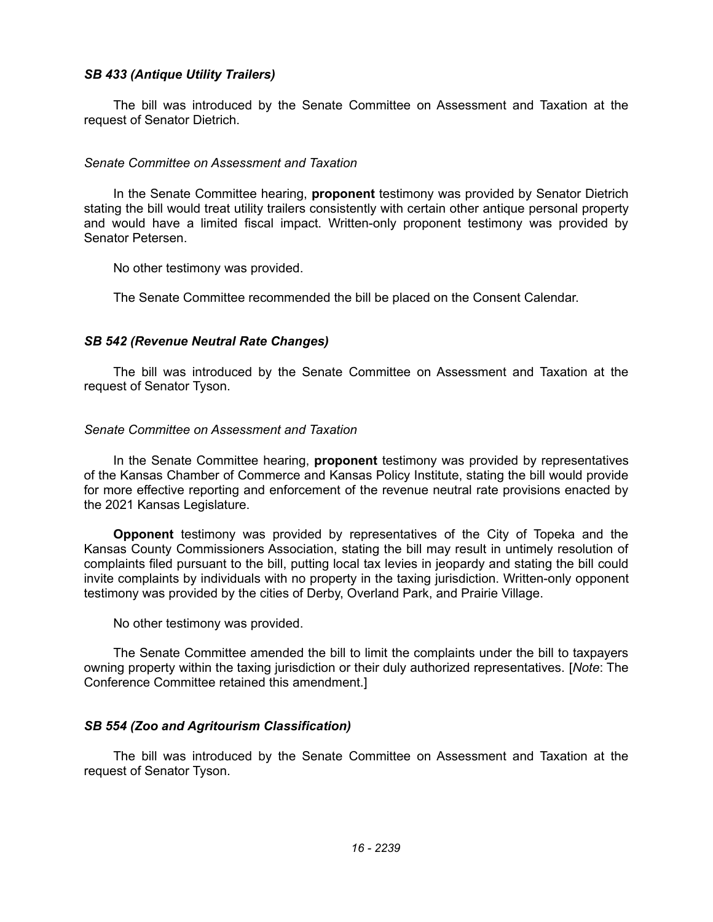## *SB 433 (Antique Utility Trailers)*

The bill was introduced by the Senate Committee on Assessment and Taxation at the request of Senator Dietrich.

### *Senate Committee on Assessment and Taxation*

In the Senate Committee hearing, **proponent** testimony was provided by Senator Dietrich stating the bill would treat utility trailers consistently with certain other antique personal property and would have a limited fiscal impact. Written-only proponent testimony was provided by Senator Petersen.

No other testimony was provided.

The Senate Committee recommended the bill be placed on the Consent Calendar.

# *SB 542 (Revenue Neutral Rate Changes)*

The bill was introduced by the Senate Committee on Assessment and Taxation at the request of Senator Tyson.

## *Senate Committee on Assessment and Taxation*

In the Senate Committee hearing, **proponent** testimony was provided by representatives of the Kansas Chamber of Commerce and Kansas Policy Institute, stating the bill would provide for more effective reporting and enforcement of the revenue neutral rate provisions enacted by the 2021 Kansas Legislature.

**Opponent** testimony was provided by representatives of the City of Topeka and the Kansas County Commissioners Association, stating the bill may result in untimely resolution of complaints filed pursuant to the bill, putting local tax levies in jeopardy and stating the bill could invite complaints by individuals with no property in the taxing jurisdiction. Written-only opponent testimony was provided by the cities of Derby, Overland Park, and Prairie Village.

No other testimony was provided.

The Senate Committee amended the bill to limit the complaints under the bill to taxpayers owning property within the taxing jurisdiction or their duly authorized representatives. [*Note*: The Conference Committee retained this amendment.]

# *SB 554 (Zoo and Agritourism Classification)*

The bill was introduced by the Senate Committee on Assessment and Taxation at the request of Senator Tyson.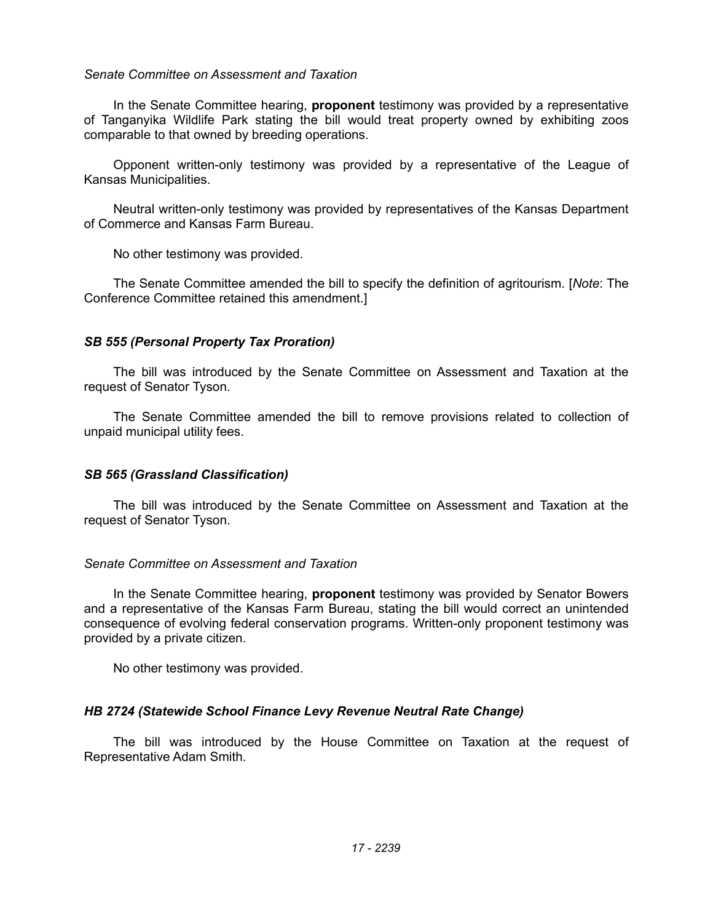### *Senate Committee on Assessment and Taxation*

In the Senate Committee hearing, **proponent** testimony was provided by a representative of Tanganyika Wildlife Park stating the bill would treat property owned by exhibiting zoos comparable to that owned by breeding operations.

Opponent written-only testimony was provided by a representative of the League of Kansas Municipalities.

Neutral written-only testimony was provided by representatives of the Kansas Department of Commerce and Kansas Farm Bureau.

No other testimony was provided.

The Senate Committee amended the bill to specify the definition of agritourism. [*Note*: The Conference Committee retained this amendment.]

# *SB 555 (Personal Property Tax Proration)*

The bill was introduced by the Senate Committee on Assessment and Taxation at the request of Senator Tyson.

The Senate Committee amended the bill to remove provisions related to collection of unpaid municipal utility fees.

# *SB 565 (Grassland Classification)*

The bill was introduced by the Senate Committee on Assessment and Taxation at the request of Senator Tyson.

### *Senate Committee on Assessment and Taxation*

In the Senate Committee hearing, **proponent** testimony was provided by Senator Bowers and a representative of the Kansas Farm Bureau, stating the bill would correct an unintended consequence of evolving federal conservation programs. Written-only proponent testimony was provided by a private citizen.

No other testimony was provided.

# *HB 2724 (Statewide School Finance Levy Revenue Neutral Rate Change)*

The bill was introduced by the House Committee on Taxation at the request of Representative Adam Smith.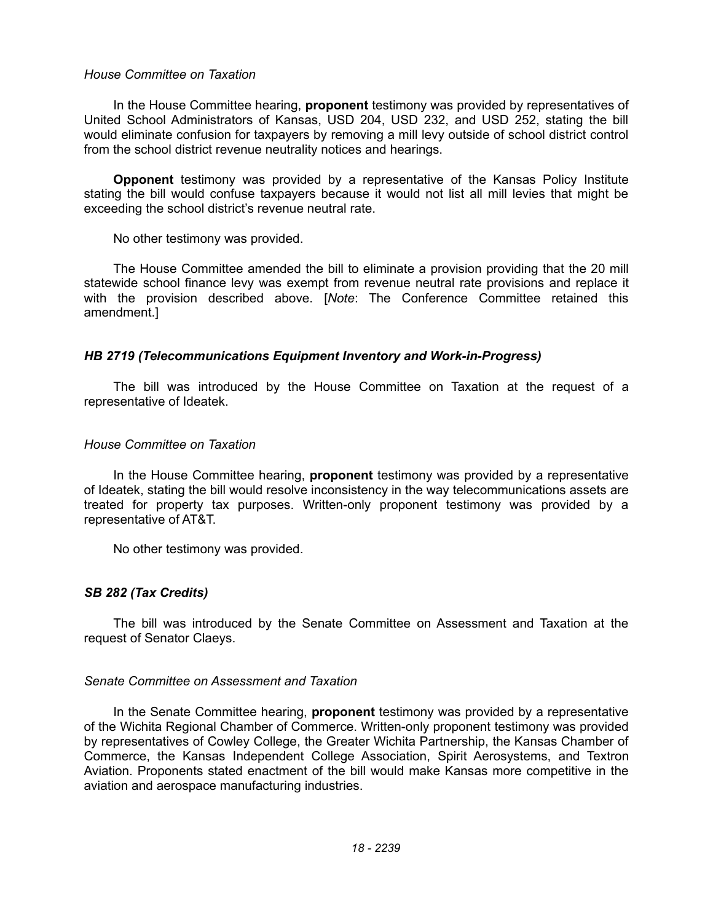### *House Committee on Taxation*

In the House Committee hearing, **proponent** testimony was provided by representatives of United School Administrators of Kansas, USD 204, USD 232, and USD 252, stating the bill would eliminate confusion for taxpayers by removing a mill levy outside of school district control from the school district revenue neutrality notices and hearings.

**Opponent** testimony was provided by a representative of the Kansas Policy Institute stating the bill would confuse taxpayers because it would not list all mill levies that might be exceeding the school district's revenue neutral rate.

No other testimony was provided.

The House Committee amended the bill to eliminate a provision providing that the 20 mill statewide school finance levy was exempt from revenue neutral rate provisions and replace it with the provision described above. [*Note*: The Conference Committee retained this amendment.]

# *HB 2719 (Telecommunications Equipment Inventory and Work-in-Progress)*

The bill was introduced by the House Committee on Taxation at the request of a representative of Ideatek.

# *House Committee on Taxation*

In the House Committee hearing, **proponent** testimony was provided by a representative of Ideatek, stating the bill would resolve inconsistency in the way telecommunications assets are treated for property tax purposes. Written-only proponent testimony was provided by a representative of AT&T.

No other testimony was provided.

# *SB 282 (Tax Credits)*

The bill was introduced by the Senate Committee on Assessment and Taxation at the request of Senator Claeys.

# *Senate Committee on Assessment and Taxation*

In the Senate Committee hearing, **proponent** testimony was provided by a representative of the Wichita Regional Chamber of Commerce. Written-only proponent testimony was provided by representatives of Cowley College, the Greater Wichita Partnership, the Kansas Chamber of Commerce, the Kansas Independent College Association, Spirit Aerosystems, and Textron Aviation. Proponents stated enactment of the bill would make Kansas more competitive in the aviation and aerospace manufacturing industries.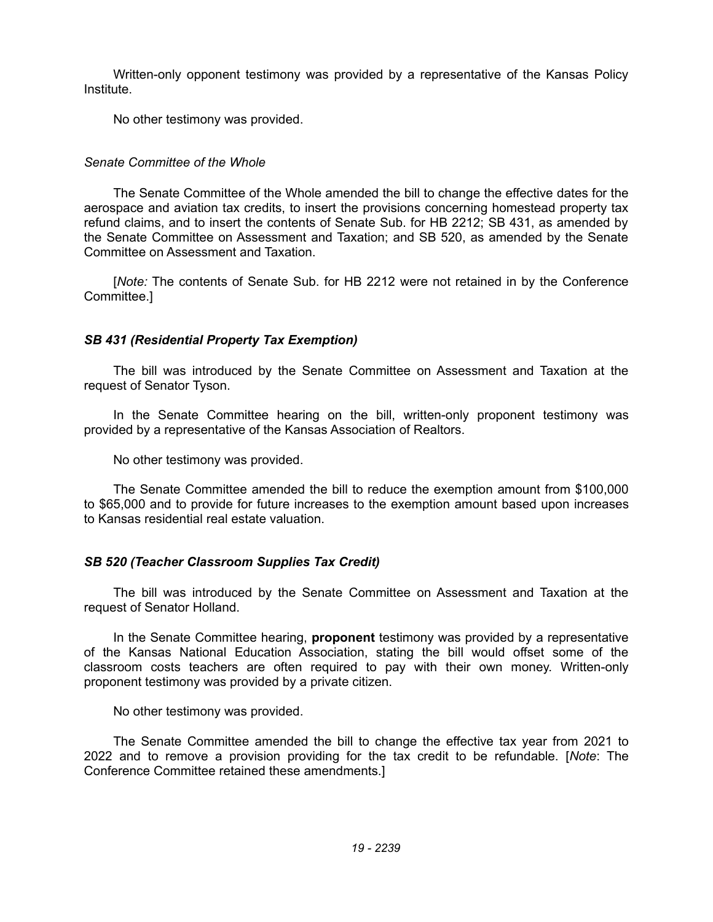Written-only opponent testimony was provided by a representative of the Kansas Policy Institute.

No other testimony was provided.

# *Senate Committee of the Whole*

The Senate Committee of the Whole amended the bill to change the effective dates for the aerospace and aviation tax credits, to insert the provisions concerning homestead property tax refund claims, and to insert the contents of Senate Sub. for HB 2212; SB 431, as amended by the Senate Committee on Assessment and Taxation; and SB 520, as amended by the Senate Committee on Assessment and Taxation.

[*Note:* The contents of Senate Sub. for HB 2212 were not retained in by the Conference Committee.]

# *SB 431 (Residential Property Tax Exemption)*

The bill was introduced by the Senate Committee on Assessment and Taxation at the request of Senator Tyson.

In the Senate Committee hearing on the bill, written-only proponent testimony was provided by a representative of the Kansas Association of Realtors.

No other testimony was provided.

The Senate Committee amended the bill to reduce the exemption amount from \$100,000 to \$65,000 and to provide for future increases to the exemption amount based upon increases to Kansas residential real estate valuation.

# *SB 520 (Teacher Classroom Supplies Tax Credit)*

The bill was introduced by the Senate Committee on Assessment and Taxation at the request of Senator Holland.

In the Senate Committee hearing, **proponent** testimony was provided by a representative of the Kansas National Education Association, stating the bill would offset some of the classroom costs teachers are often required to pay with their own money. Written-only proponent testimony was provided by a private citizen.

No other testimony was provided.

The Senate Committee amended the bill to change the effective tax year from 2021 to 2022 and to remove a provision providing for the tax credit to be refundable. [*Note*: The Conference Committee retained these amendments.]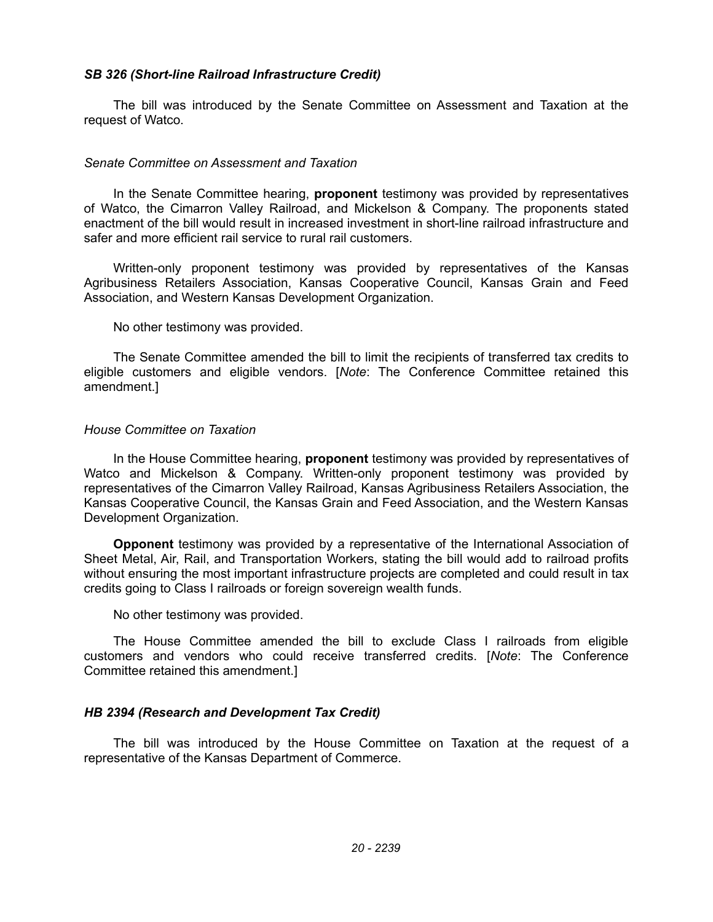## *SB 326 (Short-line Railroad Infrastructure Credit)*

The bill was introduced by the Senate Committee on Assessment and Taxation at the request of Watco.

### *Senate Committee on Assessment and Taxation*

In the Senate Committee hearing, **proponent** testimony was provided by representatives of Watco, the Cimarron Valley Railroad, and Mickelson & Company. The proponents stated enactment of the bill would result in increased investment in short-line railroad infrastructure and safer and more efficient rail service to rural rail customers.

Written-only proponent testimony was provided by representatives of the Kansas Agribusiness Retailers Association, Kansas Cooperative Council, Kansas Grain and Feed Association, and Western Kansas Development Organization.

No other testimony was provided.

The Senate Committee amended the bill to limit the recipients of transferred tax credits to eligible customers and eligible vendors. [*Note*: The Conference Committee retained this amendment.]

### *House Committee on Taxation*

In the House Committee hearing, **proponent** testimony was provided by representatives of Watco and Mickelson & Company. Written-only proponent testimony was provided by representatives of the Cimarron Valley Railroad, Kansas Agribusiness Retailers Association, the Kansas Cooperative Council, the Kansas Grain and Feed Association, and the Western Kansas Development Organization.

**Opponent** testimony was provided by a representative of the International Association of Sheet Metal, Air, Rail, and Transportation Workers, stating the bill would add to railroad profits without ensuring the most important infrastructure projects are completed and could result in tax credits going to Class I railroads or foreign sovereign wealth funds.

No other testimony was provided.

The House Committee amended the bill to exclude Class I railroads from eligible customers and vendors who could receive transferred credits. [*Note*: The Conference Committee retained this amendment.]

# *HB 2394 (Research and Development Tax Credit)*

The bill was introduced by the House Committee on Taxation at the request of a representative of the Kansas Department of Commerce.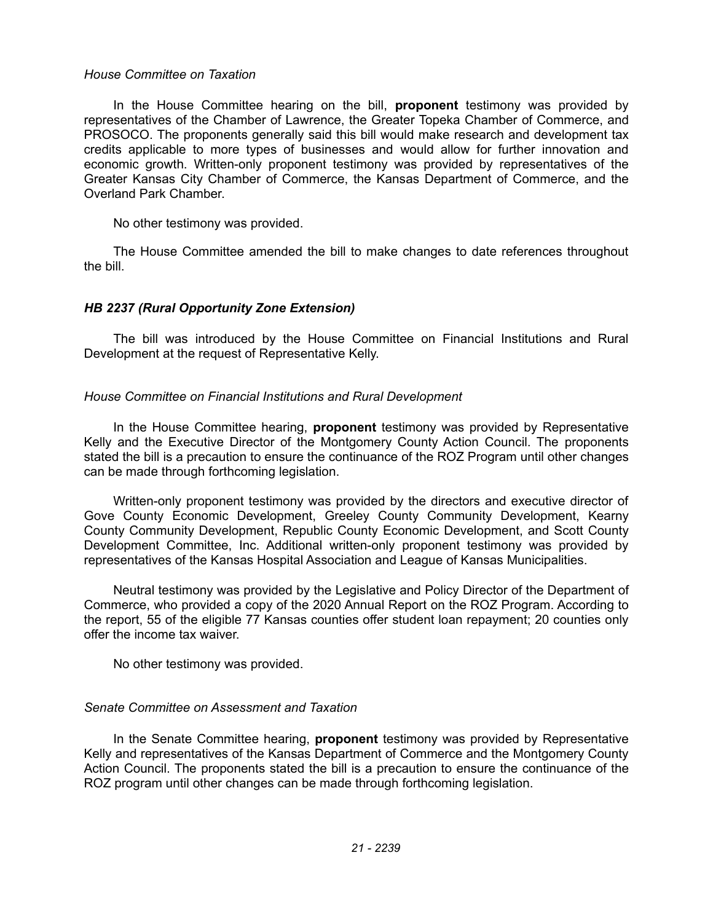### *House Committee on Taxation*

In the House Committee hearing on the bill, **proponent** testimony was provided by representatives of the Chamber of Lawrence, the Greater Topeka Chamber of Commerce, and PROSOCO. The proponents generally said this bill would make research and development tax credits applicable to more types of businesses and would allow for further innovation and economic growth. Written-only proponent testimony was provided by representatives of the Greater Kansas City Chamber of Commerce, the Kansas Department of Commerce, and the Overland Park Chamber.

No other testimony was provided.

The House Committee amended the bill to make changes to date references throughout the bill.

# *HB 2237 (Rural Opportunity Zone Extension)*

The bill was introduced by the House Committee on Financial Institutions and Rural Development at the request of Representative Kelly.

## *House Committee on Financial Institutions and Rural Development*

In the House Committee hearing, **proponent** testimony was provided by Representative Kelly and the Executive Director of the Montgomery County Action Council. The proponents stated the bill is a precaution to ensure the continuance of the ROZ Program until other changes can be made through forthcoming legislation.

Written-only proponent testimony was provided by the directors and executive director of Gove County Economic Development, Greeley County Community Development, Kearny County Community Development, Republic County Economic Development, and Scott County Development Committee, Inc. Additional written-only proponent testimony was provided by representatives of the Kansas Hospital Association and League of Kansas Municipalities.

Neutral testimony was provided by the Legislative and Policy Director of the Department of Commerce, who provided a copy of the 2020 Annual Report on the ROZ Program. According to the report, 55 of the eligible 77 Kansas counties offer student loan repayment; 20 counties only offer the income tax waiver.

No other testimony was provided.

# *Senate Committee on Assessment and Taxation*

In the Senate Committee hearing, **proponent** testimony was provided by Representative Kelly and representatives of the Kansas Department of Commerce and the Montgomery County Action Council. The proponents stated the bill is a precaution to ensure the continuance of the ROZ program until other changes can be made through forthcoming legislation.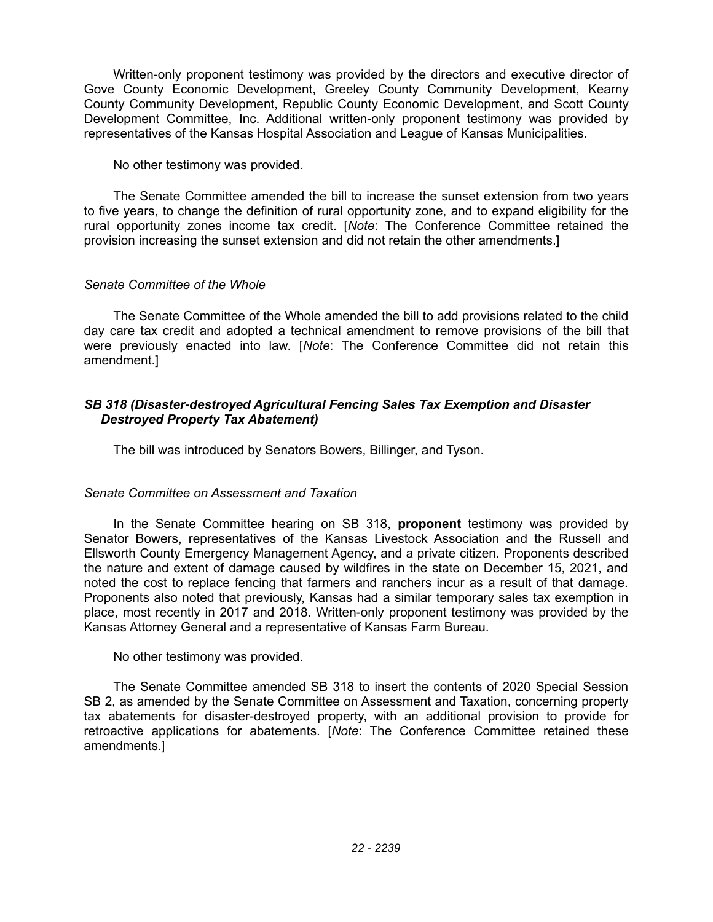Written-only proponent testimony was provided by the directors and executive director of Gove County Economic Development, Greeley County Community Development, Kearny County Community Development, Republic County Economic Development, and Scott County Development Committee, Inc. Additional written-only proponent testimony was provided by representatives of the Kansas Hospital Association and League of Kansas Municipalities.

## No other testimony was provided.

The Senate Committee amended the bill to increase the sunset extension from two years to five years, to change the definition of rural opportunity zone, and to expand eligibility for the rural opportunity zones income tax credit. [*Note*: The Conference Committee retained the provision increasing the sunset extension and did not retain the other amendments.]

# *Senate Committee of the Whole*

The Senate Committee of the Whole amended the bill to add provisions related to the child day care tax credit and adopted a technical amendment to remove provisions of the bill that were previously enacted into law. [*Note*: The Conference Committee did not retain this amendment.]

# *SB 318 (Disaster-destroyed Agricultural Fencing Sales Tax Exemption and Disaster Destroyed Property Tax Abatement)*

The bill was introduced by Senators Bowers, Billinger, and Tyson.

# *Senate Committee on Assessment and Taxation*

In the Senate Committee hearing on SB 318, **proponent** testimony was provided by Senator Bowers, representatives of the Kansas Livestock Association and the Russell and Ellsworth County Emergency Management Agency, and a private citizen. Proponents described the nature and extent of damage caused by wildfires in the state on December 15, 2021, and noted the cost to replace fencing that farmers and ranchers incur as a result of that damage. Proponents also noted that previously, Kansas had a similar temporary sales tax exemption in place, most recently in 2017 and 2018. Written-only proponent testimony was provided by the Kansas Attorney General and a representative of Kansas Farm Bureau.

No other testimony was provided.

The Senate Committee amended SB 318 to insert the contents of 2020 Special Session SB 2, as amended by the Senate Committee on Assessment and Taxation, concerning property tax abatements for disaster-destroyed property, with an additional provision to provide for retroactive applications for abatements. [*Note*: The Conference Committee retained these amendments.]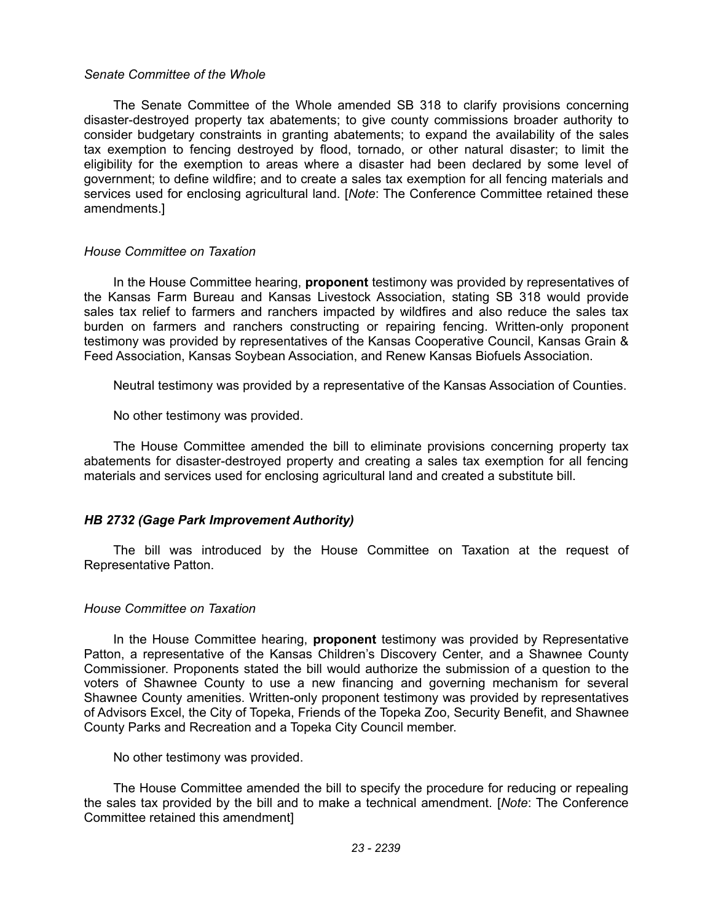### *Senate Committee of the Whole*

The Senate Committee of the Whole amended SB 318 to clarify provisions concerning disaster-destroyed property tax abatements; to give county commissions broader authority to consider budgetary constraints in granting abatements; to expand the availability of the sales tax exemption to fencing destroyed by flood, tornado, or other natural disaster; to limit the eligibility for the exemption to areas where a disaster had been declared by some level of government; to define wildfire; and to create a sales tax exemption for all fencing materials and services used for enclosing agricultural land. [*Note*: The Conference Committee retained these amendments.]

### *House Committee on Taxation*

In the House Committee hearing, **proponent** testimony was provided by representatives of the Kansas Farm Bureau and Kansas Livestock Association, stating SB 318 would provide sales tax relief to farmers and ranchers impacted by wildfires and also reduce the sales tax burden on farmers and ranchers constructing or repairing fencing. Written-only proponent testimony was provided by representatives of the Kansas Cooperative Council, Kansas Grain & Feed Association, Kansas Soybean Association, and Renew Kansas Biofuels Association.

Neutral testimony was provided by a representative of the Kansas Association of Counties.

No other testimony was provided.

The House Committee amended the bill to eliminate provisions concerning property tax abatements for disaster-destroyed property and creating a sales tax exemption for all fencing materials and services used for enclosing agricultural land and created a substitute bill.

### *HB 2732 (Gage Park Improvement Authority)*

The bill was introduced by the House Committee on Taxation at the request of Representative Patton.

#### *House Committee on Taxation*

In the House Committee hearing, **proponent** testimony was provided by Representative Patton, a representative of the Kansas Children's Discovery Center, and a Shawnee County Commissioner. Proponents stated the bill would authorize the submission of a question to the voters of Shawnee County to use a new financing and governing mechanism for several Shawnee County amenities. Written-only proponent testimony was provided by representatives of Advisors Excel, the City of Topeka, Friends of the Topeka Zoo, Security Benefit, and Shawnee County Parks and Recreation and a Topeka City Council member.

No other testimony was provided.

The House Committee amended the bill to specify the procedure for reducing or repealing the sales tax provided by the bill and to make a technical amendment. [*Note*: The Conference Committee retained this amendment]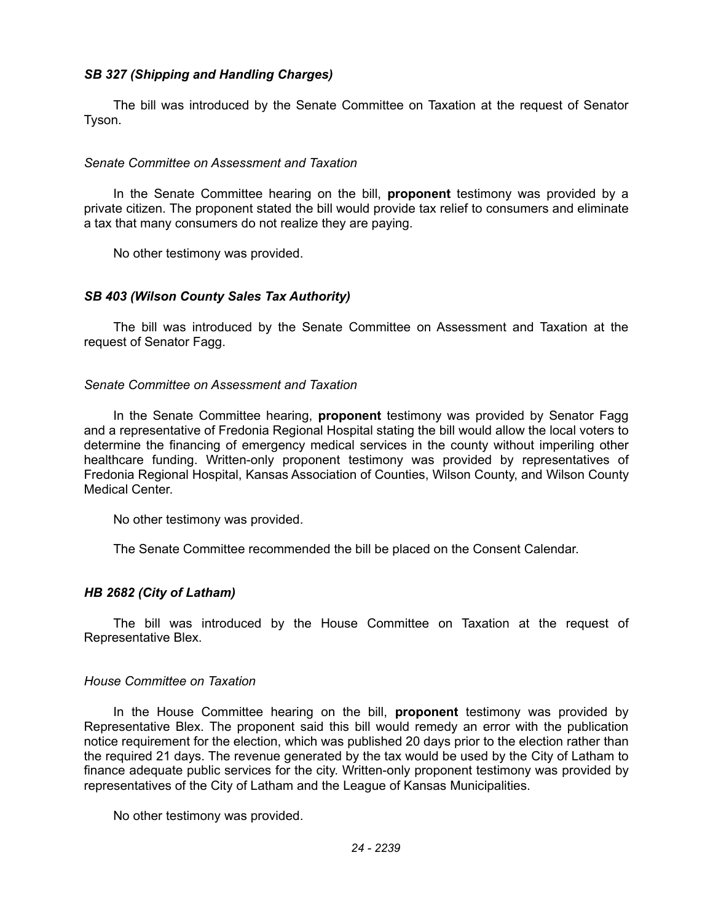# *SB 327 (Shipping and Handling Charges)*

The bill was introduced by the Senate Committee on Taxation at the request of Senator Tyson.

## *Senate Committee on Assessment and Taxation*

In the Senate Committee hearing on the bill, **proponent** testimony was provided by a private citizen. The proponent stated the bill would provide tax relief to consumers and eliminate a tax that many consumers do not realize they are paying.

No other testimony was provided.

## *SB 403 (Wilson County Sales Tax Authority)*

The bill was introduced by the Senate Committee on Assessment and Taxation at the request of Senator Fagg.

### *Senate Committee on Assessment and Taxation*

In the Senate Committee hearing, **proponent** testimony was provided by Senator Fagg and a representative of Fredonia Regional Hospital stating the bill would allow the local voters to determine the financing of emergency medical services in the county without imperiling other healthcare funding. Written-only proponent testimony was provided by representatives of Fredonia Regional Hospital, Kansas Association of Counties, Wilson County, and Wilson County Medical Center.

No other testimony was provided.

The Senate Committee recommended the bill be placed on the Consent Calendar.

# *HB 2682 (City of Latham)*

The bill was introduced by the House Committee on Taxation at the request of Representative Blex.

### *House Committee on Taxation*

In the House Committee hearing on the bill, **proponent** testimony was provided by Representative Blex. The proponent said this bill would remedy an error with the publication notice requirement for the election, which was published 20 days prior to the election rather than the required 21 days. The revenue generated by the tax would be used by the City of Latham to finance adequate public services for the city. Written-only proponent testimony was provided by representatives of the City of Latham and the League of Kansas Municipalities.

No other testimony was provided.